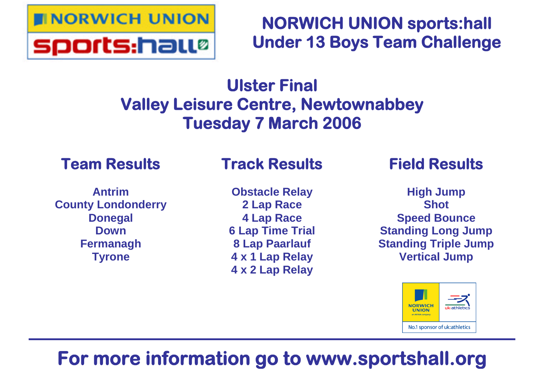

## **NORWICH UNION sports:hall Under 13 Boys Team Challenge**

# **Ulster Final Valley Leisure Centre, Newtownabbey Tuesday 7 March 2006**

## **Team Results**

### **Antrim County Londonderry Donegal Down Fermanagh Tyrone**

## **Track Results**

**Obstacle Relay 2 Lap Race 4 Lap Race 6 Lap Time Trial 8 Lap Paarlauf 4 x 1 Lap Relay 4 x 2 Lap Relay**

## **Field Results**

**High Jump Shot Speed Bounce Standing Long Jump Standing Triple Jump Vertical Jump**



# **For more information go to www.sportshall.org**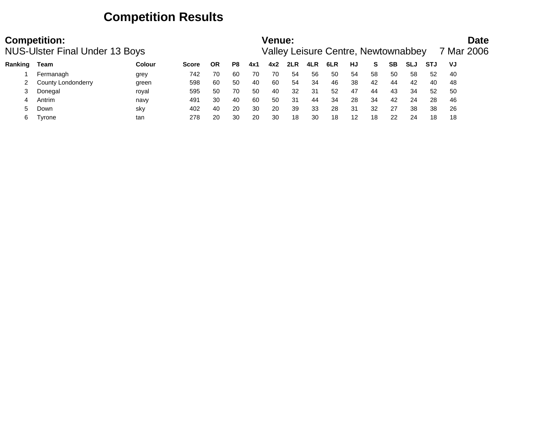### **Competition Results**

|         | <b>Competition:</b><br><b>NUS-Ulster Final Under 13 Boys</b> |        |              |           |     |     | <b>Venue:</b> |     |     | Valley Leisure Centre, Newtownabbey |    |    |    |            |            |    | <b>Date</b><br>7 Mar 2006 |
|---------|--------------------------------------------------------------|--------|--------------|-----------|-----|-----|---------------|-----|-----|-------------------------------------|----|----|----|------------|------------|----|---------------------------|
| Ranking | Team                                                         | Colour | <b>Score</b> | <b>OR</b> | P8  | 4x1 | 4x2           | 2LR | 4LR | 6LR                                 | HJ | S. | SΒ | <b>SLJ</b> | <b>STJ</b> | VJ |                           |
|         | Fermanagh                                                    | grey   | 742          | 70        | -60 | 70  | 70            | 54  | 56  | -50                                 | 54 | 58 | 50 | 58         | 52         | 40 |                           |
|         | County Londonderry                                           | green  | 598          | 60        | 50  | 40  | 60            | 54  | 34  | 46                                  | 38 | 42 | 44 | 42         | 40         | 48 |                           |
|         | Donegal                                                      | royal  | 595          | 50        | 70  | 50  | 40            | 32  | 31  | 52                                  | 47 | 44 | 43 | 34         | 52         | 50 |                           |
|         | Antrim                                                       | navy   | 491          | 30        | 40  | 60  | 50            | 31  | 44  | 34                                  | 28 | 34 | 42 | 24         | 28         | 46 |                           |
|         | Down                                                         | sky    | 402          | 40        | 20  | 30  | 20            | 39  | 33  | 28                                  | 31 | 32 | 27 | 38         | 38         | 26 |                           |
| 6       | Tyrone                                                       | tan    | 278          | 20        | 30  | 20  | 30            | 18  | 30  | 18                                  | 12 | 18 | 22 | 24         | 18         | 18 |                           |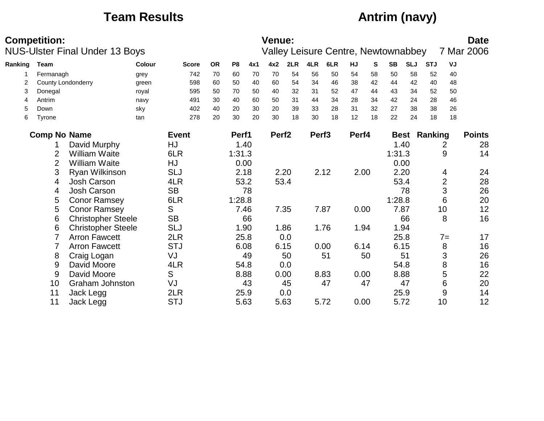### **Team Results Antrim (navy)**

|         | <b>Competition:</b> | <b>NUS-Ulster Final Under 13 Boys</b> |               |              |    |                |      | Venue:            |      |                   | <b>Valley Leisure Centre, Newtownabbey</b> |       |    |             |            |                |                | <b>Date</b><br>7 Mar 2006 |
|---------|---------------------|---------------------------------------|---------------|--------------|----|----------------|------|-------------------|------|-------------------|--------------------------------------------|-------|----|-------------|------------|----------------|----------------|---------------------------|
| Ranking | Team                |                                       | <b>Colour</b> | <b>Score</b> | OR | P <sub>8</sub> | 4x1  | 4x2               | 2LR  | 4LR               | 6LR                                        | HJ    | S  | <b>SB</b>   | <b>SLJ</b> | <b>STJ</b>     | VJ             |                           |
|         | Fermanagh           |                                       | grey          | 742          | 70 | 60             | 70   | 70                | 54   | 56                | 50                                         | 54    | 58 | 50          | 58         | 52             | 40             |                           |
| 2       |                     | County Londonderry                    | green         | 598          | 60 | 50             | 40   | 60                | 54   | 34                | 46                                         | 38    | 42 | 44          | 42         | 40             | 48             |                           |
| 3       | Donegal             |                                       | royal         | 595          | 50 | 70             | 50   | 40                | 32   | 31                | 52                                         | 47    | 44 | 43          | 34         | 52             | 50             |                           |
| 4       | Antrim              |                                       | navy          | 491          | 30 | 40             | 60   | 50                | 31   | 44                | 34                                         | 28    | 34 | 42          | 24         | 28             | 46             |                           |
| 5       | Down                |                                       | sky           | 402          | 40 | 20             | 30   | 20                | 39   | 33                | 28                                         | 31    | 32 | 27          | 38         | 38             | 26             |                           |
| 6       | <b>Tyrone</b>       |                                       | tan           | 278          | 20 | 30             | 20   | 30                | 18   | 30                | 18                                         | 12    | 18 | 22          | 24         | 18             | 18             |                           |
|         | <b>Comp No Name</b> |                                       |               | <b>Event</b> |    | Perf1          |      | Perf <sub>2</sub> |      | Perf <sub>3</sub> |                                            | Perf4 |    | <b>Best</b> |            | <b>Ranking</b> |                | <b>Points</b>             |
|         |                     | David Murphy                          |               | HJ           |    |                | 1.40 |                   |      |                   |                                            |       |    |             | 1.40       |                | 2              | 28                        |
|         | $\overline{2}$      | <b>William Waite</b>                  |               | 6LR          |    | 1:31.3         |      |                   |      |                   |                                            |       |    | 1:31.3      |            |                | 9              | 14                        |
|         | $\overline{2}$      | <b>William Waite</b>                  |               | HJ           |    |                | 0.00 |                   |      |                   |                                            |       |    | 0.00        |            |                |                |                           |
|         | 3                   | Ryan Wilkinson                        |               | <b>SLJ</b>   |    |                | 2.18 |                   | 2.20 |                   | 2.12                                       | 2.00  |    | 2.20        |            |                | 4              | 24                        |
|         | 4                   | <b>Josh Carson</b>                    |               | 4LR          |    |                | 53.2 |                   | 53.4 |                   |                                            |       |    | 53.4        |            |                | $\overline{2}$ | 28                        |
|         | 4                   | Josh Carson                           |               | <b>SB</b>    |    |                | 78   |                   |      |                   |                                            |       |    |             | 78         |                | 3              | 26                        |
|         | 5                   | <b>Conor Ramsey</b>                   |               | 6LR          |    | 1:28.8         |      |                   |      |                   |                                            |       |    | 1:28.8      |            |                | 6              | 20                        |
|         | 5                   | <b>Conor Ramsey</b>                   |               | S            |    |                | 7.46 |                   | 7.35 |                   | 7.87                                       | 0.00  |    | 7.87        |            |                | 10             | 12                        |
|         | 6                   | <b>Christopher Steele</b>             |               | <b>SB</b>    |    |                | 66   |                   |      |                   |                                            |       |    |             | 66         |                | 8              | 16                        |
|         | 6                   | <b>Christopher Steele</b>             |               | <b>SLJ</b>   |    |                | 1.90 |                   | 1.86 |                   | 1.76                                       | 1.94  |    |             | 1.94       |                |                |                           |
|         | $\overline{7}$      | <b>Arron Fawcett</b>                  |               | 2LR          |    |                | 25.8 |                   | 0.0  |                   |                                            |       |    | 25.8        |            |                | $7 =$          | 17                        |
|         |                     | <b>Arron Fawcett</b>                  |               | <b>STJ</b>   |    |                | 6.08 |                   | 6.15 |                   | 0.00                                       | 6.14  |    | 6.15        |            |                | 8              | 16                        |
|         | 8                   | Craig Logan                           |               | VJ           |    |                | 49   |                   | 50   |                   | 51                                         |       | 50 |             | 51         |                | 3              | 26                        |
|         | 9                   | David Moore                           |               | 4LR          |    |                | 54.8 |                   | 0.0  |                   |                                            |       |    | 54.8        |            |                | 8              | 16                        |
|         | 9                   | David Moore                           |               | S            |    |                | 8.88 |                   | 0.00 |                   | 8.83                                       | 0.00  |    | 8.88        |            |                | 5              | 22                        |
|         | 10                  | <b>Graham Johnston</b>                |               | VJ           |    |                | 43   |                   | 45   |                   | 47                                         |       | 47 |             | 47         |                | 6              | 20                        |
|         | 11                  | Jack Legg                             |               | 2LR          |    |                | 25.9 |                   | 0.0  |                   |                                            |       |    | 25.9        |            |                | 9              | 14                        |
|         | 11                  | Jack Legg                             |               | <b>STJ</b>   |    |                | 5.63 |                   | 5.63 |                   | 5.72                                       | 0.00  |    | 5.72        |            |                | 10             | 12                        |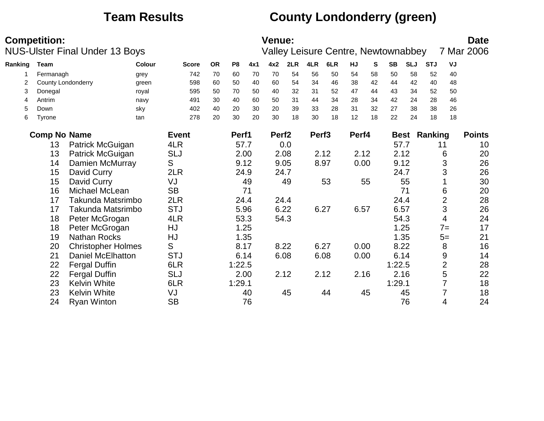## **Team Results County Londonderry (green)**

|         | <b>Competition:</b> | <b>NUS-Ulster Final Under 13 Boys</b> |        |              |           |                |     | <b>Venue:</b>     |      |                   | <b>Valley Leisure Centre, Newtownabbey</b> |       |    |           |            |                     |                | <b>Date</b><br>7 Mar 2006 |
|---------|---------------------|---------------------------------------|--------|--------------|-----------|----------------|-----|-------------------|------|-------------------|--------------------------------------------|-------|----|-----------|------------|---------------------|----------------|---------------------------|
| Ranking | Team                |                                       | Colour | <b>Score</b> | <b>OR</b> | P <sub>8</sub> | 4x1 | 4x2               | 2LR  | 4LR               | 6LR                                        | HJ    | S. | <b>SB</b> | <b>SLJ</b> | <b>STJ</b>          | VJ             |                           |
|         | Fermanagh           |                                       | grey   | 742          | 70        | 60             | 70  | 70                | 54   | 56                | 50                                         | 54    | 58 | 50        | 58         | 52                  | 40             |                           |
| 2       |                     | County Londonderry                    | green  | 598          | 60        | 50             | 40  | 60                | 54   | 34                | 46                                         | 38    | 42 | 44        | 42         | 40                  | 48             |                           |
| 3       | Donegal             |                                       | royal  | 595          | 50        | 70             | 50  | 40                | 32   | 31                | 52                                         | 47    | 44 | 43        | 34         | 52                  | 50             |                           |
| 4       | Antrim              |                                       | navy   | 491          | 30        | 40             | 60  | 50                | 31   | 44                | 34                                         | 28    | 34 | 42        | 24         | 28                  | 46             |                           |
| 5       | Down                |                                       | sky    | 402          | 40        | 20             | 30  | 20                | 39   | 33                | 28                                         | 31    | 32 | 27        | 38         | 38                  | 26             |                           |
| 6       | Tyrone              |                                       | tan    | 278          | 20        | 30             | 20  | 30                | 18   | 30                | 18                                         | 12    | 18 | 22        | 24         | 18                  | 18             |                           |
|         | <b>Comp No Name</b> |                                       |        | <b>Event</b> |           | Perf1          |     | Perf <sub>2</sub> |      | Perf <sub>3</sub> |                                            | Perf4 |    |           |            | <b>Best Ranking</b> |                | <b>Points</b>             |
|         | 13                  | Patrick McGuigan                      |        | 4LR          |           | 57.7           |     |                   | 0.0  |                   |                                            |       |    | 57.7      |            |                     | 11             | 10                        |
|         | 13                  | Patrick McGuigan                      |        | <b>SLJ</b>   |           | 2.00           |     |                   | 2.08 |                   | 2.12                                       | 2.12  |    | 2.12      |            |                     | 6              | 20                        |
|         | 14                  | Damien McMurray                       |        | S            |           | 9.12           |     |                   | 9.05 |                   | 8.97                                       | 0.00  |    | 9.12      |            |                     | 3              | 26                        |
|         | 15                  | David Curry                           |        | 2LR          |           | 24.9           |     |                   | 24.7 |                   |                                            |       |    | 24.7      |            |                     | 3              | 26                        |
|         | 15                  | David Curry                           |        | VJ           |           |                | 49  |                   | 49   |                   | 53                                         |       | 55 |           | 55         |                     |                | 30                        |
|         | 16                  | Michael McLean                        |        | <b>SB</b>    |           |                | 71  |                   |      |                   |                                            |       |    |           | 71         |                     | 6              | 20                        |
|         | 17                  | Takunda Matsrimbo                     |        | 2LR          |           | 24.4           |     |                   | 24.4 |                   |                                            |       |    | 24.4      |            |                     | $\overline{2}$ | 28                        |
|         | 17                  | Takunda Matsrimbo                     |        | <b>STJ</b>   |           | 5.96           |     |                   | 6.22 |                   | 6.27                                       | 6.57  |    | 6.57      |            |                     | 3              | 26                        |
|         | 18                  | Peter McGrogan                        |        | 4LR          |           | 53.3           |     |                   | 54.3 |                   |                                            |       |    | 54.3      |            |                     | 4              | 24                        |
|         | 18                  | Peter McGrogan                        |        | HJ           |           | 1.25           |     |                   |      |                   |                                            |       |    |           | 1.25       |                     | $7 =$          | 17                        |
|         | 19                  | <b>Nathan Rocks</b>                   |        | HJ           |           | 1.35           |     |                   |      |                   |                                            |       |    |           | 1.35       |                     | $5=$           | 21                        |
|         | 20                  | <b>Christopher Holmes</b>             |        | S            |           | 8.17           |     |                   | 8.22 |                   | 6.27                                       | 0.00  |    | 8.22      |            |                     | 8              | 16                        |
|         | 21                  | <b>Daniel McElhatton</b>              |        | <b>STJ</b>   |           | 6.14           |     |                   | 6.08 |                   | 6.08                                       | 0.00  |    | 6.14      |            |                     | 9              | 14                        |
|         | 22                  | <b>Fergal Duffin</b>                  |        | 6LR          |           | 1:22.5         |     |                   |      |                   |                                            |       |    | 1:22.5    |            |                     | $\overline{2}$ | 28                        |
|         | 22                  | <b>Fergal Duffin</b>                  |        | <b>SLJ</b>   |           | 2.00           |     |                   | 2.12 |                   | 2.12                                       | 2.16  |    | 2.16      |            |                     | 5              | 22                        |
|         | 23                  | <b>Kelvin White</b>                   |        | 6LR          |           | 1:29.1         |     |                   |      |                   |                                            |       |    | 1:29.1    |            |                     |                | 18                        |
|         | 23                  | <b>Kelvin White</b>                   |        | VJ           |           |                | 40  |                   | 45   |                   | 44                                         |       | 45 |           | 45         |                     |                | 18                        |
|         | 24                  | <b>Ryan Winton</b>                    |        | <b>SB</b>    |           |                | 76  |                   |      |                   |                                            |       |    |           | 76         |                     | 4              | 24                        |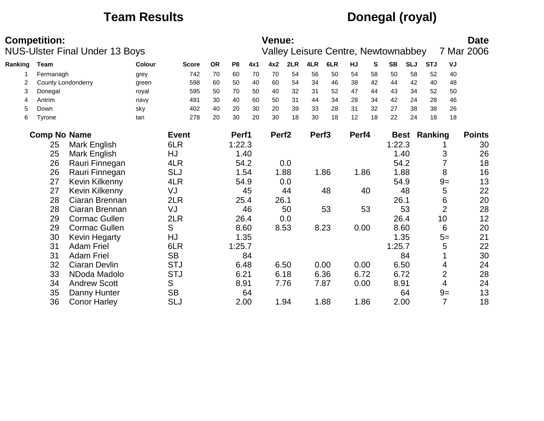### **Team Results Donegal (royal)**

|         | <b>Competition:</b>       | <b>NUS-Ulster Final Under 13 Boys</b> |               |              |           |                |      | <b>Venue:</b>     |      |                   | <b>Valley Leisure Centre, Newtownabbey</b> |       |    |           |            |                     |                          | <b>Date</b><br>7 Mar 2006 |
|---------|---------------------------|---------------------------------------|---------------|--------------|-----------|----------------|------|-------------------|------|-------------------|--------------------------------------------|-------|----|-----------|------------|---------------------|--------------------------|---------------------------|
| Ranking | Team                      |                                       | <b>Colour</b> | <b>Score</b> | <b>OR</b> | P <sub>8</sub> | 4x1  | 4x2               | 2LR  | 4LR               | 6LR                                        | HJ    | S  | <b>SB</b> | <b>SLJ</b> | <b>STJ</b>          | VJ                       |                           |
|         | Fermanagh                 |                                       | grey          | 742          | 70        | 60             | 70   | 70                | 54   | 56                | 50                                         | 54    | 58 | 50        | 58         | 52                  | 40                       |                           |
| 2       | <b>County Londonderry</b> |                                       | green         | 598          | 60        | 50             | 40   | 60                | 54   | 34                | 46                                         | 38    | 42 | 44        | 42         | 40                  | 48                       |                           |
| 3       | Donegal                   |                                       | royal         | 595          | 50        | 70             | 50   | 40                | 32   | 31                | 52                                         | 47    | 44 | 43        | 34         | 52                  | 50                       |                           |
| 4       | Antrim                    |                                       | navy          | 491          | 30        | 40             | 60   | 50                | 31   | 44                | 34                                         | 28    | 34 | 42        | 24         | 28                  | 46                       |                           |
| 5       | Down                      |                                       | sky           | 402          | 40        | 20             | 30   | 20                | 39   | 33                | 28                                         | 31    | 32 | 27        | 38         | 38                  | 26                       |                           |
| 6       | <b>Tyrone</b>             |                                       | tan           | 278          | 20        | 30             | 20   | 30                | 18   | 30                | 18                                         | 12    | 18 | 22        | 24         | 18                  | 18                       |                           |
|         | <b>Comp No Name</b>       |                                       |               | <b>Event</b> |           | Perf1          |      | Perf <sub>2</sub> |      | Perf <sub>3</sub> |                                            | Perf4 |    |           |            | <b>Best Ranking</b> |                          | <b>Points</b>             |
|         | 25                        | Mark English                          |               | 6LR          |           | 1:22.3         |      |                   |      |                   |                                            |       |    | 1:22.3    |            |                     |                          | 30                        |
|         | 25                        | Mark English                          |               | HJ           |           |                | 1.40 |                   |      |                   |                                            |       |    |           | 1.40       |                     | 3                        | 26                        |
|         | 26                        | Rauri Finnegan                        |               | 4LR          |           |                | 54.2 |                   | 0.0  |                   |                                            |       |    |           | 54.2       |                     |                          | 18                        |
|         | 26                        | Rauri Finnegan                        |               | <b>SLJ</b>   |           |                | 1.54 |                   | 1.88 |                   | 1.86                                       | 1.86  |    |           | 1.88       |                     | 8                        | 16                        |
|         | 27                        | Kevin Kilkenny                        |               | 4LR          |           |                | 54.9 |                   | 0.0  |                   |                                            |       |    |           | 54.9       |                     | $9=$                     | 13                        |
|         | 27                        | Kevin Kilkenny                        |               | VJ           |           |                | 45   |                   | 44   |                   | 48                                         |       | 40 |           | 48         |                     | 5                        | 22                        |
|         | 28                        | Ciaran Brennan                        |               | 2LR          |           |                | 25.4 |                   | 26.1 |                   |                                            |       |    | 26.1      |            |                     | 6                        | 20                        |
|         | 28                        | Ciaran Brennan                        |               | VJ           |           |                | 46   |                   | 50   |                   | 53                                         |       | 53 |           | 53         |                     | $\overline{2}$           | 28                        |
|         | 29                        | <b>Cormac Gullen</b>                  |               | 2LR          |           |                | 26.4 |                   | 0.0  |                   |                                            |       |    |           | 26.4       |                     | 10                       | 12                        |
|         | 29                        | <b>Cormac Gullen</b>                  |               | S            |           |                | 8.60 |                   | 8.53 |                   | 8.23                                       | 0.00  |    |           | 8.60       |                     | 6                        | 20                        |
|         | 30                        | Kevin Hegarty                         |               | HJ           |           |                | 1.35 |                   |      |                   |                                            |       |    |           | 1.35       |                     | $5=$                     | 21                        |
|         | 31                        | <b>Adam Friel</b>                     |               | 6LR          |           | 1:25.7         |      |                   |      |                   |                                            |       |    | 1:25.7    |            |                     | 5                        | 22                        |
|         | 31                        | <b>Adam Friel</b>                     |               | <b>SB</b>    |           |                | 84   |                   |      |                   |                                            |       |    |           | 84         |                     |                          | 30                        |
|         | 32                        | Ciaran Devlin                         |               | <b>STJ</b>   |           |                | 6.48 |                   | 6.50 |                   | 0.00                                       | 0.00  |    | 6.50      |            |                     | 4                        | 24                        |
|         | 33                        | NDoda Madolo                          |               | <b>STJ</b>   |           | 6.21           |      |                   | 6.18 |                   | 6.36                                       | 6.72  |    | 6.72      |            |                     | $\overline{2}$           | 28                        |
|         | 34                        | <b>Andrew Scott</b>                   |               | S            |           | 8.91           |      |                   | 7.76 |                   | 7.87                                       | 0.00  |    | 8.91      |            |                     | $\overline{\mathcal{A}}$ | 24                        |
|         | 35                        | Danny Hunter                          |               | <b>SB</b>    |           |                | 64   |                   |      |                   |                                            |       |    |           | 64         |                     | $9=$                     | 13                        |
|         | 36                        | <b>Conor Harley</b>                   |               | <b>SLJ</b>   |           |                | 2.00 |                   | 1.94 |                   | 1.88                                       | 1.86  |    |           | 2.00       |                     | $\overline{7}$           | 18                        |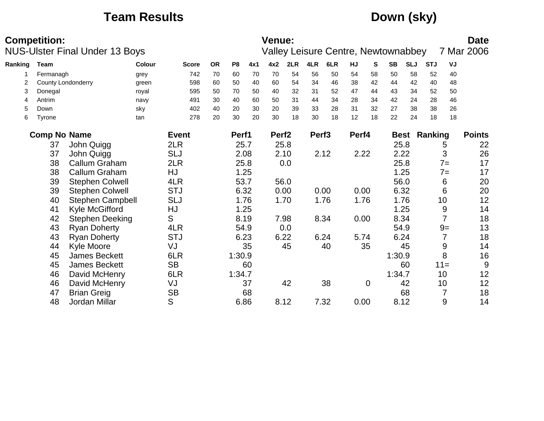### **Team Results Down (sky)**

|         | <b>Competition:</b> | <b>NUS-Ulster Final Under 13 Boys</b> |        |              |           |                |     | <b>Venue:</b>     |      |                   | <b>Valley Leisure Centre, Newtownabbey</b> |       |             |           |             |            |                | <b>Date</b><br>7 Mar 2006 |
|---------|---------------------|---------------------------------------|--------|--------------|-----------|----------------|-----|-------------------|------|-------------------|--------------------------------------------|-------|-------------|-----------|-------------|------------|----------------|---------------------------|
| Ranking | <b>Team</b>         |                                       | Colour | <b>Score</b> | <b>OR</b> | P <sub>8</sub> | 4x1 | 4x2               | 2LR  | 4LR               | 6LR                                        | HJ    | S           | <b>SB</b> | <b>SLJ</b>  | <b>STJ</b> | VJ             |                           |
|         | Fermanagh           |                                       | grey   | 742          | 70        | 60             | 70  | 70                | 54   | 56                | 50                                         | 54    | 58          | 50        | 58          | 52         | 40             |                           |
| 2       | County Londonderry  |                                       | green  | 598          | 60        | 50             | 40  | 60                | 54   | 34                | 46                                         | 38    | 42          | 44        | 42          | 40         | 48             |                           |
| 3       | Donegal             |                                       | royal  | 595          | 50        | 70             | 50  | 40                | 32   | 31                | 52                                         | 47    | 44          | 43        | 34          | 52         | 50             |                           |
| 4       | Antrim              |                                       | navy   | 491          | 30        | 40             | 60  | 50                | 31   | 44                | 34                                         | 28    | 34          | 42        | 24          | 28         | 46             |                           |
| 5       | Down                |                                       | sky    | 402          | 40        | 20             | 30  | 20                | 39   | 33                | 28                                         | 31    | 32          | 27        | 38          | 38         | 26             |                           |
| 6       | Tyrone              |                                       | tan    | 278          | 20        | 30             | 20  | 30                | 18   | 30                | 18                                         | 12    | 18          | 22        | 24          | 18         | 18             |                           |
|         | <b>Comp No Name</b> |                                       |        | <b>Event</b> |           | Perf1          |     | Perf <sub>2</sub> |      | Perf <sub>3</sub> |                                            | Perf4 |             |           | <b>Best</b> | Ranking    |                | <b>Points</b>             |
|         | 37                  | John Quigg                            |        | 2LR          |           | 25.7           |     |                   | 25.8 |                   |                                            |       |             | 25.8      |             |            | 5              | 22                        |
|         | 37                  | John Quigg                            |        | <b>SLJ</b>   |           | 2.08           |     |                   | 2.10 |                   | 2.12                                       | 2.22  |             | 2.22      |             |            | 3              | 26                        |
|         | 38                  | <b>Callum Graham</b>                  |        | 2LR          |           | 25.8           |     |                   | 0.0  |                   |                                            |       |             | 25.8      |             |            | $7=$           | 17                        |
|         | 38                  | Callum Graham                         |        | HJ           |           | 1.25           |     |                   |      |                   |                                            |       |             |           | 1.25        |            | $7 =$          | 17                        |
|         | 39                  | <b>Stephen Colwell</b>                |        | 4LR          |           | 53.7           |     |                   | 56.0 |                   |                                            |       |             | 56.0      |             |            | 6              | 20                        |
|         | 39                  | <b>Stephen Colwell</b>                |        | <b>STJ</b>   |           | 6.32           |     |                   | 0.00 |                   | 0.00                                       | 0.00  |             | 6.32      |             |            | 6              | 20                        |
|         | 40                  | <b>Stephen Campbell</b>               |        | <b>SLJ</b>   |           | 1.76           |     |                   | 1.70 |                   | 1.76                                       | 1.76  |             |           | 1.76        |            | 10             | 12                        |
|         | 41                  | Kyle McGifford                        |        | HJ           |           | 1.25           |     |                   |      |                   |                                            |       |             |           | 1.25        |            | 9              | 14                        |
|         | 42                  | <b>Stephen Deeking</b>                |        | S            |           | 8.19           |     |                   | 7.98 |                   | 8.34                                       | 0.00  |             | 8.34      |             |            | $\overline{7}$ | 18                        |
|         | 43                  | <b>Ryan Doherty</b>                   |        | 4LR          |           | 54.9           |     |                   | 0.0  |                   |                                            |       |             | 54.9      |             |            | $9=$           | 13                        |
|         | 43                  | <b>Ryan Doherty</b>                   |        | <b>STJ</b>   |           | 6.23           |     |                   | 6.22 |                   | 6.24                                       | 5.74  |             | 6.24      |             |            | $\overline{7}$ | 18                        |
|         | 44                  | <b>Kyle Moore</b>                     |        | VJ           |           |                | 35  |                   | 45   |                   | 40                                         |       | 35          |           | 45          |            | 9              | 14                        |
|         | 45                  | <b>James Beckett</b>                  |        | 6LR          |           | 1:30.9         |     |                   |      |                   |                                            |       |             | 1:30.9    |             |            | 8              | 16                        |
|         | 45                  | James Beckett                         |        | <b>SB</b>    |           |                | 60  |                   |      |                   |                                            |       |             |           | 60          |            | $11 =$         | 9                         |
|         | 46                  | David McHenry                         |        | 6LR          |           | 1:34.7         |     |                   |      |                   |                                            |       |             | 1:34.7    |             |            | 10             | 12                        |
|         | 46                  | David McHenry                         |        | VJ           |           |                | 37  |                   | 42   |                   | 38                                         |       | $\mathbf 0$ |           | 42          |            | 10             | 12                        |
|         | 47                  | <b>Brian Greig</b>                    |        | <b>SB</b>    |           |                | 68  |                   |      |                   |                                            |       |             |           | 68          |            | 7              | 18                        |
|         | 48                  | Jordan Millar                         |        | S            |           | 6.86           |     |                   | 8.12 |                   | 7.32                                       | 0.00  |             | 8.12      |             |            | 9              | 14                        |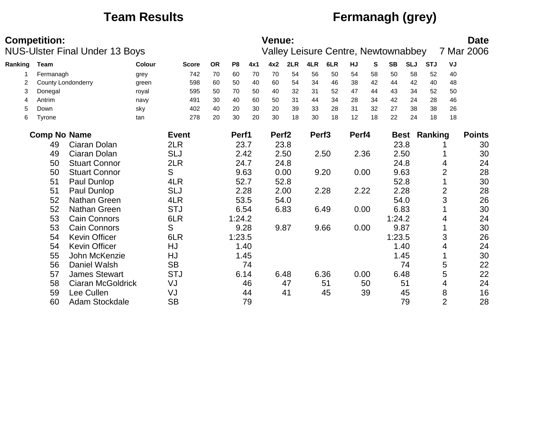## **Team Results Fermanagh (grey)**

|         | <b>Competition:</b>       | <b>NUS-Ulster Final Under 13 Boys</b> |        |              |           |                |      | Venue:            |      |                   | <b>Valley Leisure Centre, Newtownabbey</b> |       |    |             |            |            |                | <b>Date</b><br>7 Mar 2006 |
|---------|---------------------------|---------------------------------------|--------|--------------|-----------|----------------|------|-------------------|------|-------------------|--------------------------------------------|-------|----|-------------|------------|------------|----------------|---------------------------|
| Ranking | <b>Team</b>               |                                       | Colour | <b>Score</b> | <b>OR</b> | P <sub>8</sub> | 4x1  | 4x2               | 2LR  | 4LR               | 6LR                                        | HJ    | S  | <b>SB</b>   | <b>SLJ</b> | <b>STJ</b> | VJ             |                           |
|         | Fermanagh                 |                                       | grey   | 742          | 70        | 60             | 70   | 70                | 54   | 56                | 50                                         | 54    | 58 | 50          | 58         | 52         | 40             |                           |
| 2       | <b>County Londonderry</b> |                                       | green  | 598          | 60        | 50             | 40   | 60                | 54   | 34                | 46                                         | 38    | 42 | 44          | 42         | 40         | 48             |                           |
| 3       | Donegal                   |                                       | royal  | 595          | 50        | 70             | 50   | 40                | 32   | 31                | 52                                         | 47    | 44 | 43          | 34         | 52         | 50             |                           |
| 4       | Antrim                    |                                       | navy   | 491          | 30        | 40             | 60   | 50                | 31   | 44                | 34                                         | 28    | 34 | 42          | 24         | 28         | 46             |                           |
| 5       | Down                      |                                       | sky    | 402          | 40        | 20             | 30   | 20                | 39   | 33                | 28                                         | 31    | 32 | 27          | 38         | 38         | 26             |                           |
| 6       | Tyrone                    |                                       | tan    | 278          | 20        | 30             | 20   | 30                | 18   | 30                | 18                                         | 12    | 18 | 22          | 24         | 18         | 18             |                           |
|         | <b>Comp No Name</b>       |                                       |        | <b>Event</b> |           | Perf1          |      | Perf <sub>2</sub> |      | Perf <sub>3</sub> |                                            | Perf4 |    | <b>Best</b> |            | Ranking    |                | <b>Points</b>             |
|         | 49                        | Ciaran Dolan                          |        | 2LR          |           | 23.7           |      |                   | 23.8 |                   |                                            |       |    | 23.8        |            |            |                | 30                        |
|         | 49                        | Ciaran Dolan                          |        | <b>SLJ</b>   |           | 2.42           |      |                   | 2.50 |                   | 2.50                                       | 2.36  |    | 2.50        |            |            |                | 30                        |
|         | 50                        | <b>Stuart Connor</b>                  |        | 2LR          |           | 24.7           |      |                   | 24.8 |                   |                                            |       |    | 24.8        |            |            | 4              | 24                        |
|         | 50                        | <b>Stuart Connor</b>                  |        | S            |           | 9.63           |      |                   | 0.00 |                   | 9.20                                       | 0.00  |    | 9.63        |            |            | 2              | 28                        |
|         | 51                        | Paul Dunlop                           |        | 4LR          |           | 52.7           |      |                   | 52.8 |                   |                                            |       |    | 52.8        |            |            |                | 30                        |
|         | 51                        | Paul Dunlop                           |        | <b>SLJ</b>   |           | 2.28           |      |                   | 2.00 |                   | 2.28                                       | 2.22  |    | 2.28        |            |            | $\overline{2}$ | 28                        |
|         | 52                        | Nathan Green                          |        | 4LR          |           | 53.5           |      |                   | 54.0 |                   |                                            |       |    | 54.0        |            |            | 3              | 26                        |
|         | 52                        | Nathan Green                          |        | <b>STJ</b>   |           | 6.54           |      |                   | 6.83 |                   | 6.49                                       | 0.00  |    | 6.83        |            |            |                | 30                        |
|         | 53                        | <b>Cain Connors</b>                   |        | 6LR          |           | 1:24.2         |      |                   |      |                   |                                            |       |    | 1:24.2      |            |            | 4              | 24                        |
|         | 53                        | Cain Connors                          |        | S            |           | 9.28           |      |                   | 9.87 |                   | 9.66                                       | 0.00  |    | 9.87        |            |            |                | 30                        |
|         | 54                        | <b>Kevin Officer</b>                  |        | 6LR          |           | 1:23.5         |      |                   |      |                   |                                            |       |    | 1:23.5      |            |            | 3              | 26                        |
|         | 54                        | <b>Kevin Officer</b>                  |        | HJ           |           | 1.40           |      |                   |      |                   |                                            |       |    |             | 1.40       |            | 4              | 24                        |
|         | 55                        | John McKenzie                         |        | HJ           |           |                | 1.45 |                   |      |                   |                                            |       |    |             | 1.45       |            |                | 30                        |
|         | 56                        | Daniel Walsh                          |        | <b>SB</b>    |           |                | 74   |                   |      |                   |                                            |       |    |             | 74         |            | 5              | 22                        |
|         | 57                        | <b>James Stewart</b>                  |        | <b>STJ</b>   |           | 6.14           |      |                   | 6.48 |                   | 6.36                                       | 0.00  |    | 6.48        |            |            | 5              | 22                        |
|         | 58                        | Ciaran McGoldrick                     |        | VJ           |           |                | 46   |                   | 47   |                   | 51                                         |       | 50 |             | 51         |            | 4              | 24                        |
|         | 59                        | Lee Cullen                            |        | VJ           |           |                | 44   |                   | 41   |                   | 45                                         |       | 39 |             | 45         |            | 8              | 16                        |
|         | 60                        | Adam Stockdale                        |        | <b>SB</b>    |           |                | 79   |                   |      |                   |                                            |       |    |             | 79         |            | $\overline{2}$ | 28                        |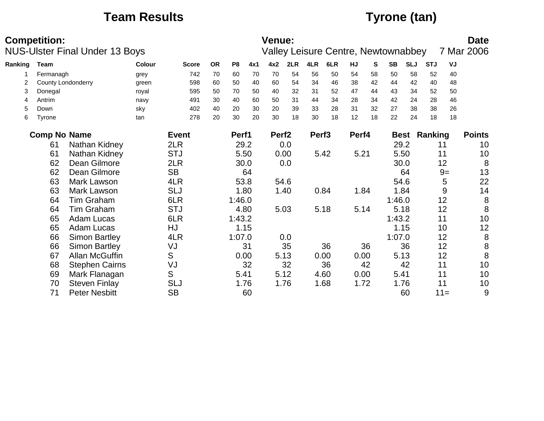### **Team Results Tyrone (tan)**

|         | <b>Competition:</b> |                                       |               |              |           |                |      | Venue:            |      |                   |                                            |       |    |           |             |            |        | <b>Date</b>                           |
|---------|---------------------|---------------------------------------|---------------|--------------|-----------|----------------|------|-------------------|------|-------------------|--------------------------------------------|-------|----|-----------|-------------|------------|--------|---------------------------------------|
|         |                     | <b>NUS-Ulster Final Under 13 Boys</b> |               |              |           |                |      |                   |      |                   | <b>Valley Leisure Centre, Newtownabbey</b> |       |    |           |             |            |        | 7 Mar 2006                            |
| Ranking | Team                |                                       | <b>Colour</b> | <b>Score</b> | <b>OR</b> | P <sub>8</sub> | 4x1  | 4x2               | 2LR  | 4LR               | 6LR                                        | HJ    | S  | <b>SB</b> | <b>SLJ</b>  | <b>STJ</b> | VJ     |                                       |
|         | Fermanagh           |                                       | grey          | 742          | 70        | 60             | 70   | 70                | 54   | 56                | 50                                         | 54    | 58 | 50        | 58          | 52         | 40     |                                       |
| 2       |                     | <b>County Londonderry</b>             | green         | 598          | 60        | 50             | 40   | 60                | 54   | 34                | 46                                         | 38    | 42 | 44        | 42          | 40         | 48     |                                       |
| 3       | Donegal             |                                       | royal         | 595          | 50        | 70             | 50   | 40                | 32   | 31                | 52                                         | 47    | 44 | 43        | 34          | 52         | 50     |                                       |
| 4       | Antrim              |                                       | navy          | 491          | 30        | 40             | 60   | 50                | 31   | 44                | 34                                         | 28    | 34 | 42        | 24          | 28         | 46     |                                       |
| 5       | Down                |                                       | sky           | 402          | 40        | 20             | 30   | 20                | 39   | 33                | 28                                         | 31    | 32 | 27        | 38          | 38         | 26     |                                       |
| 6       | Tyrone              |                                       | tan           | 278          | 20        | 30             | 20   | 30                | 18   | 30                | 18                                         | 12    | 18 | 22        | 24          | 18         | 18     |                                       |
|         | <b>Comp No Name</b> |                                       |               | <b>Event</b> |           | Perf1          |      | Perf <sub>2</sub> |      | Perf <sub>3</sub> |                                            | Perf4 |    |           | <b>Best</b> | Ranking    |        | <b>Points</b>                         |
|         | 61                  | Nathan Kidney                         |               | 2LR          |           |                | 29.2 |                   | 0.0  |                   |                                            |       |    |           | 29.2        |            | 11     | 10                                    |
|         | 61                  | Nathan Kidney                         |               | <b>STJ</b>   |           |                | 5.50 |                   | 0.00 |                   | 5.42                                       | 5.21  |    |           | 5.50        |            | 11     | 10                                    |
|         | 62                  | Dean Gilmore                          |               | 2LR          |           |                | 30.0 |                   | 0.0  |                   |                                            |       |    |           | 30.0        |            | 12     | 8                                     |
|         | 62                  | Dean Gilmore                          |               | <b>SB</b>    |           |                | 64   |                   |      |                   |                                            |       |    |           | 64          |            | $9=$   | 13                                    |
|         | 63                  | Mark Lawson                           |               | 4LR          |           |                | 53.8 |                   | 54.6 |                   |                                            |       |    |           | 54.6        |            | 5      | 22                                    |
|         | 63                  | Mark Lawson                           |               | <b>SLJ</b>   |           |                | 1.80 |                   | 1.40 |                   | 0.84                                       | 1.84  |    |           | 1.84        |            | 9      | 14                                    |
|         | 64                  | <b>Tim Graham</b>                     |               | 6LR          |           | 1:46.0         |      |                   |      |                   |                                            |       |    | 1:46.0    |             |            | 12     |                                       |
|         | 64                  | <b>Tim Graham</b>                     |               | <b>STJ</b>   |           |                | 4.80 |                   | 5.03 |                   | 5.18                                       | 5.14  |    |           | 5.18        |            | 12     | $\begin{array}{c} 8 \\ 8 \end{array}$ |
|         | 65                  | <b>Adam Lucas</b>                     |               | 6LR          |           | 1:43.2         |      |                   |      |                   |                                            |       |    | 1:43.2    |             |            | 11     | 10                                    |
|         | 65                  | <b>Adam Lucas</b>                     |               | HJ           |           |                | 1.15 |                   |      |                   |                                            |       |    |           | 1.15        |            | 10     | 12                                    |
|         | 66                  | <b>Simon Bartley</b>                  |               | 4LR          |           | 1:07.0         |      |                   | 0.0  |                   |                                            |       |    | 1:07.0    |             |            | 12     | $\,8\,$                               |
|         | 66                  | <b>Simon Bartley</b>                  |               | VJ           |           |                | 31   |                   | 35   |                   | 36                                         |       | 36 |           | 36          |            | 12     | $\bf 8$                               |
|         | 67                  | <b>Allan McGuffin</b>                 |               | S            |           |                | 0.00 |                   | 5.13 |                   | 0.00                                       | 0.00  |    |           | 5.13        |            | 12     | 8                                     |
|         | 68                  | <b>Stephen Cairns</b>                 |               | VJ           |           |                | 32   |                   | 32   |                   | 36                                         |       | 42 |           | 42          |            | 11     | 10                                    |
|         | 69                  | Mark Flanagan                         |               | S            |           | 5.41           |      |                   | 5.12 |                   | 4.60                                       | 0.00  |    | 5.41      |             |            | 11     | 10                                    |
|         | 70                  | <b>Steven Finlay</b>                  |               | <b>SLJ</b>   |           |                | 1.76 |                   | 1.76 |                   | 1.68                                       | 1.72  |    |           | 1.76        |            | 11     | 10                                    |
|         | 71                  | <b>Peter Nesbitt</b>                  |               | <b>SB</b>    |           |                | 60   |                   |      |                   |                                            |       |    |           | 60          |            | $11 =$ | 9                                     |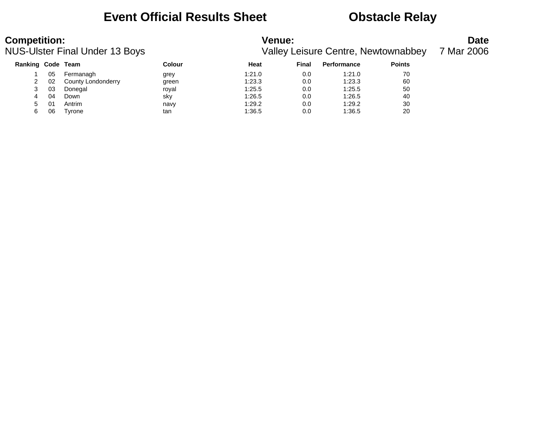### **Event Official Results Sheet <b>CEV** Obstacle Relay

| <b>Competition:</b>      |    | <b>NUS-Ulster Final Under 13 Boys</b> |        | <b>Venue:</b> |       | <b>Valley Leisure Centre, Newtownabbey</b> |               | <b>Date</b><br>7 Mar 2006 |
|--------------------------|----|---------------------------------------|--------|---------------|-------|--------------------------------------------|---------------|---------------------------|
| <b>Ranking Code Team</b> |    |                                       | Colour | Heat          | Final | <b>Performance</b>                         | <b>Points</b> |                           |
|                          | 05 | Fermanagh                             | grey   | 1:21.0        | 0.0   | 1:21.0                                     | 70            |                           |
|                          | 02 | County Londonderry                    | green  | 1:23.3        | 0.0   | 1:23.3                                     | 60            |                           |

 03 Donegal royal 1:25.5 0.0 1:25.5 50 04 Down sky 1:26.5 0.0 1:26.5 40 01 Antrim navy 1:29.2 0.0 1:29.2 30 06 Tyrone tan 1:36.5 0.0 1:36.5 20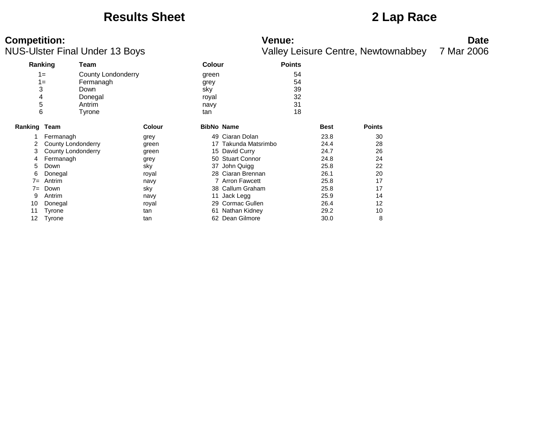### **Results Sheet 2 Lap Race**

# **Competition:** Date

NUS-Ulster Final Under 13 Boys Valley Leisure Centre, Newtownabbey 7 Mar 2006

**Ranking Team Colour Points** 1= County Londonderry green 54 1= Fermanagh grey 54 3 Down sky 39 4 Donegal royal 32 5 Antrim navy 31 6 Tyrone tan 18 **Ranking Team Colour BibNo Name Best Points** 1 Fermanagh grey 49 Ciaran Dolan 23.8 30 2 County Londonderry external green 17 Takunda Matsrimbo 24.4 28 3 County Londonderry green 15 David Curry 24.7 26 4 Fermanagh and grey 50 Stuart Connor 24.8 5 Down 37 John Quigg 25.8 22 6 Donegal royal 28 Ciaran Brennan 26.1 20 7= Antrim 17 Antron Fawcett 17 Arron Fawcett 17 Antron 25.8 17 7 Down Sky Sky 38 Callum Graham 25.8 17 9 Antrim 11 Jack Legg 25.9 14 10 Donegal 12 Cormac Gullen 29 Cormac Gullen 26.4 12 11 Tyrone tan tan 61 Nathan Kidney 29.2 10 12 Tyrone **tan tan 52 Dean Gilmore** 30.0 8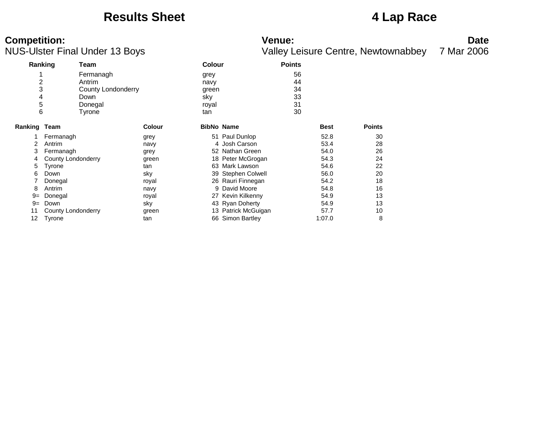### **Results Sheet 4 Lap Race**

| <b>Competition:</b>                   | <b>Venue:</b>                       | Date       |
|---------------------------------------|-------------------------------------|------------|
| <b>NUS-Ulster Final Under 13 Boys</b> | Valley Leisure Centre, Newtownabbey | 7 Mar 2006 |

|                       |                                 | US-Ulster Final Under 13 Boys                                                 |               |                                              |                                         |                                  |              | <b>Valley Leisure Centre, Newtownabbey</b> | 7 Mar 2006 |
|-----------------------|---------------------------------|-------------------------------------------------------------------------------|---------------|----------------------------------------------|-----------------------------------------|----------------------------------|--------------|--------------------------------------------|------------|
|                       | Ranking                         | Team                                                                          |               | <b>Colour</b>                                |                                         | <b>Points</b>                    |              |                                            |            |
| 2<br>3<br>4<br>5<br>6 |                                 | Fermanagh<br>Antrim<br><b>County Londonderry</b><br>Down<br>Donegal<br>Tyrone |               | grey<br>navy<br>green<br>sky<br>royal<br>tan |                                         | 56<br>44<br>34<br>33<br>31<br>30 |              |                                            |            |
| Ranking               | Team                            |                                                                               | <b>Colour</b> | <b>BibNo Name</b>                            |                                         |                                  | <b>Best</b>  | <b>Points</b>                              |            |
| 2                     | Fermanagh<br>Antrim             |                                                                               | grey<br>navy  |                                              | 51 Paul Dunlop<br>4 Josh Carson         |                                  | 52.8<br>53.4 | 30<br>28                                   |            |
| 3<br>4                | Fermanagh<br>County Londonderry |                                                                               | grey<br>green |                                              | 52 Nathan Green<br>18 Peter McGrogan    |                                  | 54.0<br>54.3 | 26<br>24                                   |            |
| 5                     | Tyrone                          |                                                                               | tan           |                                              | 63 Mark Lawson                          |                                  | 54.6         | 22                                         |            |
| 6                     | Down<br>Donegal                 |                                                                               | sky<br>royal  |                                              | 39 Stephen Colwell<br>26 Rauri Finnegan |                                  | 56.0<br>54.2 | 20<br>18                                   |            |
| 8<br>$9 =$            | Antrim<br>Donegal               |                                                                               | navy<br>royal |                                              | 9 David Moore<br>27 Kevin Kilkenny      |                                  | 54.8<br>54.9 | 16<br>13                                   |            |
| $9=$<br>11            | Down<br>County Londonderry      |                                                                               | sky<br>green  |                                              | 43 Ryan Doherty<br>13 Patrick McGuigan  |                                  | 54.9<br>57.7 | 13<br>10                                   |            |
| 12                    | Tyrone                          |                                                                               | tan           | 66                                           | <b>Simon Bartley</b>                    |                                  | 1:07.0       | 8                                          |            |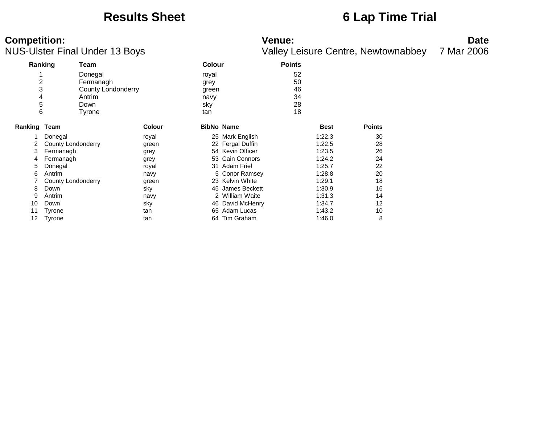### **Results Sheet 6 Lap Time Trial**

**Competition:**<br>**Date**<br>
Valley Leisure Centre, Newtownabbey 7 Mar 2006<br>
Valley Leisure Centre, Newtownabbey 7 Mar 2006 Valley Leisure Centre, Newtownabbey 7 Mar 2006

| Ranking      |                    | Team                      |               | <b>Colour</b>     |                  | <b>Points</b> |             |               |
|--------------|--------------------|---------------------------|---------------|-------------------|------------------|---------------|-------------|---------------|
|              |                    | Donegal                   |               | royal             |                  | 52            |             |               |
| 2            |                    | Fermanagh                 |               | grey              |                  | 50            |             |               |
| 3            |                    | <b>County Londonderry</b> |               | green             |                  | 46            |             |               |
| 4            |                    | Antrim                    |               | navy              |                  | 34            |             |               |
| 5            |                    | Down                      |               | sky               |                  | 28            |             |               |
| 6            |                    | Tyrone                    |               | tan               |                  | 18            |             |               |
| Ranking Team |                    |                           | <b>Colour</b> | <b>BibNo Name</b> |                  |               | <b>Best</b> | <b>Points</b> |
|              | Donegal            |                           | royal         |                   | 25 Mark English  |               | 1:22.3      | 30            |
| 2            | County Londonderry |                           | green         |                   | 22 Fergal Duffin |               | 1:22.5      | 28            |
| 3            | Fermanagh          |                           | grey          |                   | 54 Kevin Officer |               | 1:23.5      | 26            |
| 4            | Fermanagh          |                           | grey          |                   | 53 Cain Connors  |               | 1:24.2      | 24            |
| 5            | Donegal            |                           | royal         |                   | 31 Adam Friel    |               | 1:25.7      | 22            |
| 6            | Antrim             |                           | navy          |                   | 5 Conor Ramsey   |               | 1:28.8      | 20            |
|              | County Londonderry |                           | green         |                   | 23 Kelvin White  |               | 1:29.1      | 18            |
| 8            | Down               |                           | sky           |                   | 45 James Beckett |               | 1:30.9      | 16            |
| 9            | Antrim             |                           | navy          |                   | 2 William Waite  |               | 1:31.3      | 14            |
| 10           | Down               |                           | sky           |                   | 46 David McHenry |               | 1:34.7      | 12            |
| 11           | Tyrone             |                           | tan           | 65                | Adam Lucas       |               | 1:43.2      | 10            |
| 12           | Tyrone             |                           | tan           |                   | 64 Tim Graham    |               | 1:46.0      | 8             |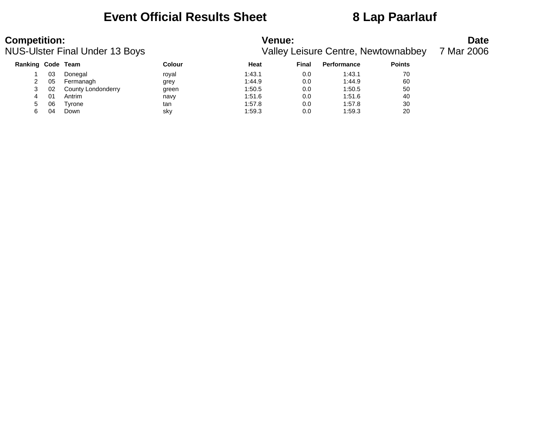### **Event Official Results Sheet 8 Lap Paarlauf**

| <b>Competition:</b> |    | NUS-Ulster Final Under 13 Boys |        | <b>Venue:</b> |       | <b>Valley Leisure Centre, Newtownabbey</b> |               | <b>Date</b><br>7 Mar 2006 |
|---------------------|----|--------------------------------|--------|---------------|-------|--------------------------------------------|---------------|---------------------------|
| Ranking Code Team   |    |                                | Colour | Heat          | Final | <b>Performance</b>                         | <b>Points</b> |                           |
|                     | 03 | Donegal                        | roval  | 1:43.1        | 0.0   | 1:43.1                                     | 70            |                           |
|                     | 05 | Fermanagh                      | grey   | 1:44.9        | 0.0   | 1:44.9                                     | 60            |                           |
|                     | 02 | County Londonderry             | green  | 1:50.5        | 0.0   | 1:50.5                                     | 50            |                           |
| 4                   | 01 | Antrim                         | navy   | 1:51.6        | 0.0   | 1:51.6                                     | 40            |                           |

5 06 Tyrone tan 1:57.8 0.0 1:57.8 30 6 04 Down sky 1:59.3 0.0 1:59.3 20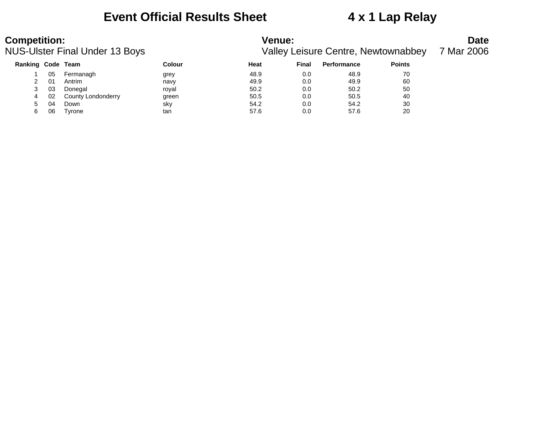### **Event Official Results Sheet 4 x 1 Lap Relay**

# **Competition:**<br>**Date**<br>
Valley Leisure Centre, Newtownabbey 7 Mar 2006<br>
Valley Leisure Centre, Newtownabbey 7 Mar 2006

Valley Leisure Centre, Newtownabbey 7 Mar 2006

| <b>Ranking Code Team</b> |     |                    | Colour | Heat | <b>Final</b> | <b>Performance</b> | <b>Points</b> |
|--------------------------|-----|--------------------|--------|------|--------------|--------------------|---------------|
|                          | 05  | Fermanagh          | grey   | 48.9 | 0.0          | 48.9               | 70            |
|                          | -01 | Antrim             | navy   | 49.9 | 0.0          | 49.9               | 60            |
| 3                        | 03  | Donegal            | roval  | 50.2 | 0.0          | 50.2               | 50            |
|                          | 02  | County Londonderry | green  | 50.5 | 0.0          | 50.5               | 40            |
| 5                        | 04  | Down               | sky    | 54.2 | 0.0          | 54.2               | 30            |
|                          | 06  | Tyrone             | tan    | 57.6 | 0.0          | 57.6               | 20            |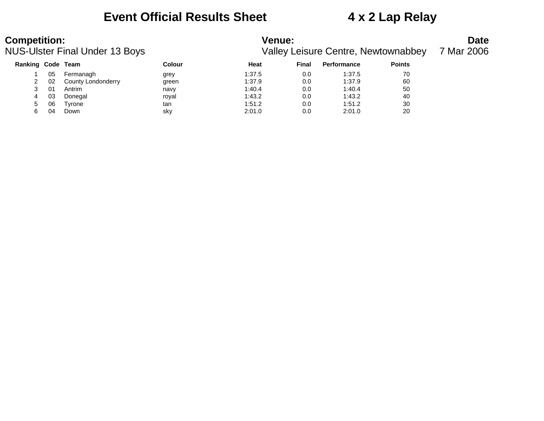### **Event Official Results Sheet 4 x 2 Lap Relay**

# **Competition:**<br>**Date**<br>
Valley Leisure Centre, Newtownabbey 7 Mar 2006<br>
Valley Leisure Centre, Newtownabbey 7 Mar 2006

Valley Leisure Centre, Newtownabbey 7 Mar 2006

| Ranking Code Team |    |                    | Colour | Heat   | <b>Final</b> | <b>Performance</b> | <b>Points</b> |
|-------------------|----|--------------------|--------|--------|--------------|--------------------|---------------|
|                   | 05 | Fermanagh          | grey   | 1:37.5 | 0.0          | 1:37.5             | 70            |
|                   | 02 | County Londonderry | green  | 1:37.9 | 0.0          | 1:37.9             | 60            |
|                   | 01 | Antrim             | navv   | 1:40.4 | 0.0          | 1:40.4             | 50            |
| 4                 | 03 | Donegal            | roval  | 1:43.2 | 0.0          | 1:43.2             | 40            |
| 5                 | 06 | Tvrone             | tan    | 1:51.2 | 0.0          | 1:51.2             | 30            |
|                   | 04 | Down               | sky    | 2:01.0 | 0.0          | 2:01.0             | 20            |
|                   |    |                    |        |        |              |                    |               |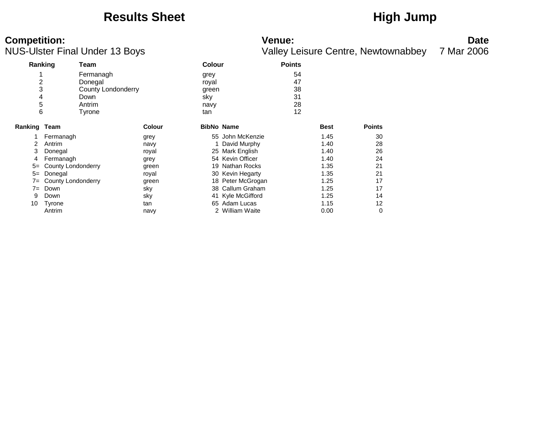### Results Sheet **High Jump**

| <b>Competition:</b>            | Venue:                                        | Date |
|--------------------------------|-----------------------------------------------|------|
| NILO Hator Final Hador 12 Boys | Valley Loisure Centre Neuteurobbey 7 Mer 2006 |      |

NUS-Ulster Final Under 13 Boys Valley Leisure Centre, Newtownabbey 7 Mar 2006

| Ranking             |                    | Team                      |               | <b>Colour</b> |                   | <b>Points</b> |             |               |
|---------------------|--------------------|---------------------------|---------------|---------------|-------------------|---------------|-------------|---------------|
| 4                   |                    | Fermanagh                 |               | grey          |                   | 54            |             |               |
| 2                   |                    | Donegal                   |               | royal         |                   | 47            |             |               |
| 3                   |                    | <b>County Londonderry</b> |               | green         |                   | 38            |             |               |
| 4                   |                    | Down                      |               | sky           |                   | 31            |             |               |
| 5                   |                    | Antrim                    |               | navy          |                   | 28            |             |               |
| 6                   |                    | Tyrone                    |               | tan           |                   | 12            |             |               |
| <b>Ranking Team</b> |                    |                           | <b>Colour</b> |               | <b>BibNo Name</b> |               | <b>Best</b> | <b>Points</b> |
| 1                   | Fermanagh          |                           | grey          |               | 55 John McKenzie  |               | 1.45        | 30            |
| 2                   | Antrim             |                           | navy          |               | David Murphy      |               | 1.40        | 28            |
| 3                   | Donegal            |                           | royal         | 25            | Mark English      |               | 1.40        | 26            |
| 4                   | Fermanagh          |                           | grey          |               | 54 Kevin Officer  |               | 1.40        | 24            |
| $5=$                | County Londonderry |                           | green         |               | 19 Nathan Rocks   |               | 1.35        | 21            |
| $5=$                | Donegal            |                           | royal         |               | 30 Kevin Hegarty  |               | 1.35        | 21            |
| $7 =$               | County Londonderry |                           | green         |               | 18 Peter McGrogan |               | 1.25        | 17            |
| $7=$                | Down               |                           | sky           | 38            | Callum Graham     |               | 1.25        | 17            |
| 9                   | Down               |                           | sky           |               | 41 Kyle McGifford |               | 1.25        | 14            |
| 10                  | Tyrone             |                           | tan           |               | 65 Adam Lucas     |               | 1.15        | 12            |
|                     | Antrim             |                           | navy          |               | 2 William Waite   |               | 0.00        | 0             |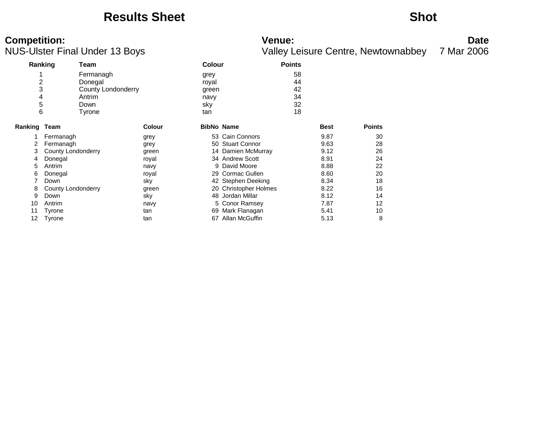### **Results Sheet Shot**

# **Competition:**<br>**Date**<br>
Valley Leisure Centre, Newtownabbey 7 Mar 2006<br>
Valley Leisure Centre, Newtownabbey 7 Mar 2006

Valley Leisure Centre, Newtownabbey 7 Mar 2006

| Ranking        |                    | Team                      |               | <b>Colour</b> |                       | <b>Points</b> |             |               |  |
|----------------|--------------------|---------------------------|---------------|---------------|-----------------------|---------------|-------------|---------------|--|
|                |                    | Fermanagh                 |               | grey          |                       | 58            |             |               |  |
| $\overline{c}$ |                    | Donegal                   |               | royal         |                       | 44            |             |               |  |
| 3              |                    | <b>County Londonderry</b> |               | green         |                       | 42            |             |               |  |
| 4              |                    | Antrim                    |               | navy          |                       | 34            |             |               |  |
| 5              |                    | Down                      |               | sky           |                       | 32            |             |               |  |
| 6              |                    | Tyrone                    |               | tan           |                       | 18            |             |               |  |
| Ranking Team   |                    |                           | <b>Colour</b> |               | <b>BibNo Name</b>     |               | <b>Best</b> | <b>Points</b> |  |
|                | Fermanagh          |                           | grey          |               | 53 Cain Connors       |               | 9.87        | 30            |  |
| 2              | Fermanagh          |                           | grey          |               | 50 Stuart Connor      |               | 9.63        | 28            |  |
| 3              | County Londonderry |                           | green         |               | 14 Damien McMurray    |               | 9.12        | 26            |  |
| 4              | Donegal            |                           | royal         |               | 34 Andrew Scott       |               | 8.91        | 24            |  |
| 5              | Antrim             |                           | navy          |               | 9 David Moore         |               | 8.88        | 22            |  |
| 6              | Donegal            |                           | royal         |               | 29 Cormac Gullen      |               | 8.60        | 20            |  |
|                | Down               |                           | sky           |               | 42 Stephen Deeking    |               | 8.34        | 18            |  |
| 8              | County Londonderry |                           | green         |               | 20 Christopher Holmes |               | 8.22        | 16            |  |
| 9              | Down               |                           | sky           |               | 48 Jordan Millar      |               | 8.12        | 14            |  |
| 10             | Antrim             |                           | navy          |               | 5 Conor Ramsey        |               | 7.87        | 12            |  |
|                | Tyrone             |                           | tan           |               | 69 Mark Flanagan      |               | 5.41        | 10            |  |
| 12             | Tyrone             |                           | tan           | 67            | Allan McGuffin        |               | 5.13        | 8             |  |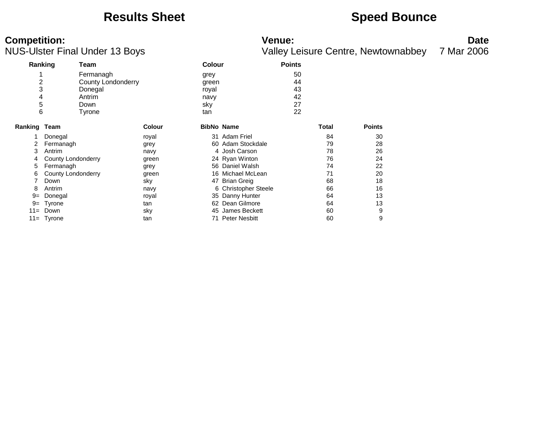### **Results Sheet <b>Speed Bounce Speed Bounce**

**Competition:**<br>**Date**<br>
Valley Leisure Centre, Newtownabbey 7 Mar 2006<br>
Valley Leisure Centre, Newtownabbey 7 Mar 2006 Valley Leisure Centre, Newtownabbey 7 Mar 2006

| Ranking        |                           | Team               |               | <b>Colour</b>     |                      | <b>Points</b> |       |               |  |
|----------------|---------------------------|--------------------|---------------|-------------------|----------------------|---------------|-------|---------------|--|
|                |                           | Fermanagh          |               | grey              |                      | 50            |       |               |  |
| $\overline{c}$ |                           | County Londonderry |               | green             |                      | 44            |       |               |  |
| 3              |                           | Donegal            |               | royal             |                      | 43            |       |               |  |
| 4              |                           | Antrim             |               | navy              |                      | 42            |       |               |  |
| 5              |                           | Down               |               | sky               |                      | 27            |       |               |  |
| 6              |                           | Tyrone             |               | tan               |                      | 22            |       |               |  |
| Ranking Team   |                           |                    | <b>Colour</b> | <b>BibNo Name</b> |                      |               | Total | <b>Points</b> |  |
|                | Donegal                   |                    | royal         |                   | 31 Adam Friel        |               | 84    | 30            |  |
| 2              | Fermanagh                 |                    | grey          |                   | 60 Adam Stockdale    |               | 79    | 28            |  |
| 3              | Antrim                    |                    | navy          |                   | 4 Josh Carson        |               | 78    | 26            |  |
| 4              | County Londonderry        |                    | green         |                   | 24 Ryan Winton       |               | 76    | 24            |  |
| 5              | Fermanagh                 |                    | grey          |                   | 56 Daniel Walsh      |               | 74    | 22            |  |
| 6              | <b>County Londonderry</b> |                    | green         |                   | 16 Michael McLean    |               | 71    | 20            |  |
|                | Down                      |                    | sky           | 47                | <b>Brian Greig</b>   |               | 68    | 18            |  |
| 8              | Antrim                    |                    | navy          |                   | 6 Christopher Steele |               | 66    | 16            |  |
| $9=$           | Donegal                   |                    | royal         |                   | 35 Danny Hunter      |               | 64    | 13            |  |
| $9 =$          | Tyrone                    |                    | tan           |                   | 62 Dean Gilmore      |               | 64    | 13            |  |
| $11 =$         | Down                      |                    | sky           | 45                | James Beckett        |               | 60    | 9             |  |
|                | $11 =$ Tyrone             |                    | tan           |                   | 71 Peter Nesbitt     |               | 60    | 9             |  |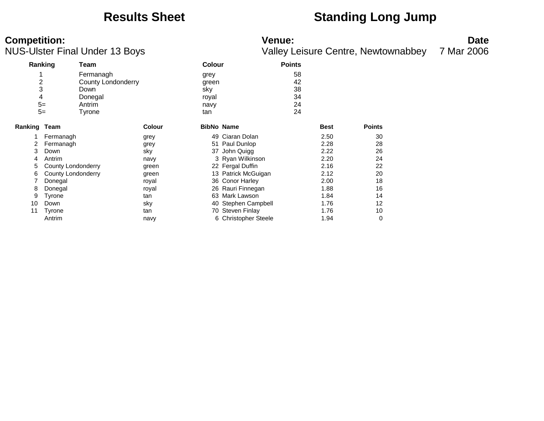### **Results Sheet Standing Long Jump**

# **Competition:** Date

NUS-Ulster Final Under 13 Boys Valley Leisure Centre, Newtownabbey 7 Mar 2006

**Ranking Team Colour Points** 1 Fermanagh grey grey 58<br>2 County Londonderry areen areas areas 42 **2** County Londonderry **Exercise 22** Green 3 Down sky 38 4 Donegal royal 34 5= Antrim navy 24 5= Tyrone tan 24 **Ranking Team Colour BibNo Name Best Points** 1 Fermanagh grey 49 Ciaran Dolan 2.50 30 2 Fermanagh grey 51 Paul Dunlop 2.28 28 3 Down sky sky 37 John Quigg 2.22 26 4 Antrim 12.20 24 Antrim 12.20 24 Antrim 12.20 24 5 County Londonderry green 22 Fergal Duffin 2.16 22 6 County Londonderry **green** 13 Patrick McGuigan 2.12 20 7 Donegal 18 Conor Harley 2.00 18 8 Donegal 1.88 16 November 26 Rauri Finnegan 1.88 16 9 Tyrone tan tan 63 Mark Lawson 1.84 14 10 Down sky sky 40 Stephen Campbell 1.76 12 11 Tyrone tan tan 170 Steven Finlay 1.76 10 Antrim **navy** 6 Christopher Steele 1.94 0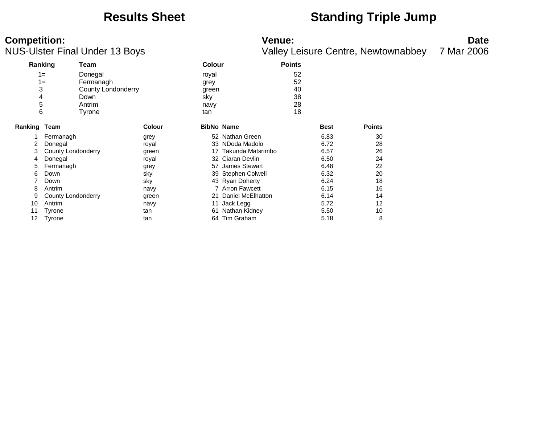### **Results Sheet Standing Triple Jump**

# **Competition:**<br>**Date**<br>
Valley Leisure Centre, Newtownabbey 7 Mar 2006<br>
Valley Leisure Centre, Newtownabbey 7 Mar 2006

|              |                           | JS-Ulster Final Under 13 Boys |               |                   |                      |               |             | <b>Valley Leisure Centre, Newtownabbey</b> | 7 Mar 2006 |
|--------------|---------------------------|-------------------------------|---------------|-------------------|----------------------|---------------|-------------|--------------------------------------------|------------|
|              | Ranking                   | Team                          |               | <b>Colour</b>     |                      | <b>Points</b> |             |                                            |            |
|              | $1=$                      | Donegal                       |               | royal             |                      | 52            |             |                                            |            |
|              | $1 =$                     | Fermanagh                     |               | grey              |                      | 52            |             |                                            |            |
|              | 3                         | County Londonderry            |               | green             |                      | 40            |             |                                            |            |
| 4            |                           | Down                          |               | sky               |                      | 38            |             |                                            |            |
|              | 5                         | Antrim                        |               | navy              |                      | 28            |             |                                            |            |
|              | 6                         | Tyrone                        |               | tan               |                      | 18            |             |                                            |            |
| Ranking Team |                           |                               | <b>Colour</b> | <b>BibNo Name</b> |                      |               | <b>Best</b> | <b>Points</b>                              |            |
|              | Fermanagh                 |                               | grey          |                   | 52 Nathan Green      |               | 6.83        | 30                                         |            |
|              | Donegal                   |                               | royal         |                   | 33 NDoda Madolo      |               | 6.72        | 28                                         |            |
| 3            | <b>County Londonderry</b> |                               | green         |                   | 17 Takunda Matsrimbo |               | 6.57        | 26                                         |            |
| 4            | Donegal                   |                               | royal         |                   | 32 Ciaran Devlin     |               | 6.50        | 24                                         |            |
| 5            | Fermanagh                 |                               | grey          |                   | 57 James Stewart     |               | 6.48        | 22                                         |            |
| 6            | Down                      |                               | sky           |                   | 39 Stephen Colwell   |               | 6.32        | 20                                         |            |
|              | Down                      |                               | sky           |                   | 43 Ryan Doherty      |               | 6.24        | 18                                         |            |
| 8            | Antrim                    |                               | navy          |                   | 7 Arron Fawcett      |               | 6.15        | 16                                         |            |
| 9            | County Londonderry        |                               | green         | 21                | Daniel McElhatton    |               | 6.14        | 14                                         |            |
| 10           | Antrim                    |                               | navy          | 11                | Jack Legg            |               | 5.72        | 12                                         |            |
| 11           | Tyrone                    |                               | tan           | 61                | Nathan Kidney        |               | 5.50        | 10                                         |            |
| 12           | Tyrone                    |                               | tan           |                   | 64 Tim Graham        |               | 5.18        | 8                                          |            |